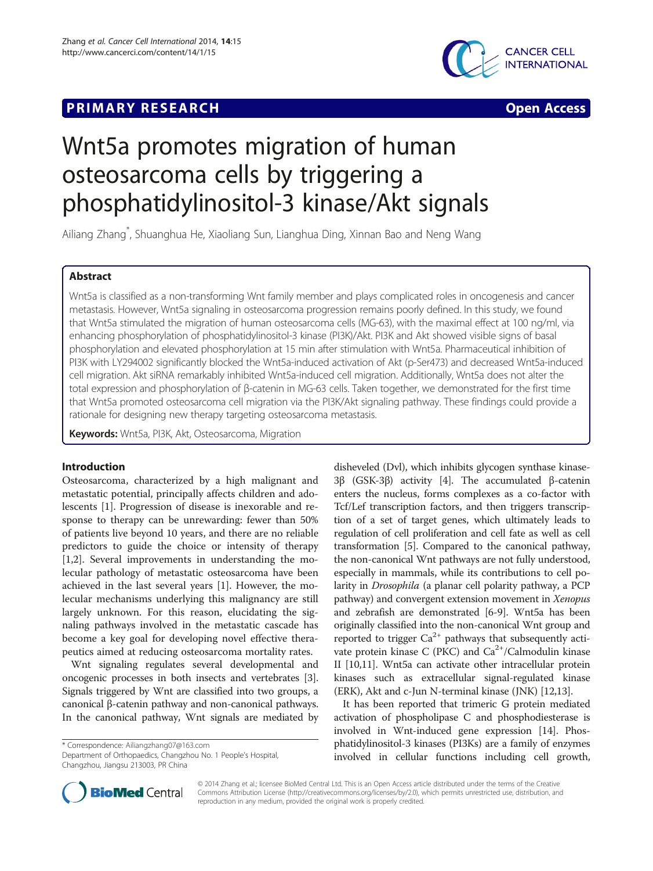# **PRIMARY RESEARCH CONSTRUCTION CONSTRUCTS**





# Wnt5a promotes migration of human osteosarcoma cells by triggering a phosphatidylinositol-3 kinase/Akt signals

Ailiang Zhang<sup>\*</sup>, Shuanghua He, Xiaoliang Sun, Lianghua Ding, Xinnan Bao and Neng Wang

## Abstract

Wnt5a is classified as a non-transforming Wnt family member and plays complicated roles in oncogenesis and cancer metastasis. However, Wnt5a signaling in osteosarcoma progression remains poorly defined. In this study, we found that Wnt5a stimulated the migration of human osteosarcoma cells (MG-63), with the maximal effect at 100 ng/ml, via enhancing phosphorylation of phosphatidylinositol-3 kinase (PI3K)/Akt. PI3K and Akt showed visible signs of basal phosphorylation and elevated phosphorylation at 15 min after stimulation with Wnt5a. Pharmaceutical inhibition of PI3K with LY294002 significantly blocked the Wnt5a-induced activation of Akt (p-Ser473) and decreased Wnt5a-induced cell migration. Akt siRNA remarkably inhibited Wnt5a-induced cell migration. Additionally, Wnt5a does not alter the total expression and phosphorylation of β-catenin in MG-63 cells. Taken together, we demonstrated for the first time that Wnt5a promoted osteosarcoma cell migration via the PI3K/Akt signaling pathway. These findings could provide a rationale for designing new therapy targeting osteosarcoma metastasis.

Keywords: Wnt5a, PI3K, Akt, Osteosarcoma, Migration

#### Introduction

Osteosarcoma, characterized by a high malignant and metastatic potential, principally affects children and adolescents [\[1](#page-5-0)]. Progression of disease is inexorable and response to therapy can be unrewarding: fewer than 50% of patients live beyond 10 years, and there are no reliable predictors to guide the choice or intensity of therapy [[1,2\]](#page-5-0). Several improvements in understanding the molecular pathology of metastatic osteosarcoma have been achieved in the last several years [\[1](#page-5-0)]. However, the molecular mechanisms underlying this malignancy are still largely unknown. For this reason, elucidating the signaling pathways involved in the metastatic cascade has become a key goal for developing novel effective therapeutics aimed at reducing osteosarcoma mortality rates.

Wnt signaling regulates several developmental and oncogenic processes in both insects and vertebrates [[3](#page-5-0)]. Signals triggered by Wnt are classified into two groups, a canonical β-catenin pathway and non-canonical pathways. In the canonical pathway, Wnt signals are mediated by

\* Correspondence: [Ailiangzhang07@163.com](mailto:Ailiangzhang07@163.com)

Department of Orthopaedics, Changzhou No. 1 People's Hospital, Changzhou, Jiangsu 213003, PR China

disheveled (Dvl), which inhibits glycogen synthase kinase-3β (GSK-3β) activity [[4\]](#page-5-0). The accumulated β-catenin enters the nucleus, forms complexes as a co-factor with Tcf/Lef transcription factors, and then triggers transcription of a set of target genes, which ultimately leads to regulation of cell proliferation and cell fate as well as cell transformation [[5](#page-5-0)]. Compared to the canonical pathway, the non-canonical Wnt pathways are not fully understood, especially in mammals, while its contributions to cell polarity in Drosophila (a planar cell polarity pathway, a PCP pathway) and convergent extension movement in Xenopus and zebrafish are demonstrated [\[6](#page-5-0)-[9\]](#page-5-0). Wnt5a has been originally classified into the non-canonical Wnt group and reported to trigger  $Ca^{2+}$  pathways that subsequently activate protein kinase C (PKC) and  $Ca^{2+}/Calmoduli$ n kinase II [\[10,11\]](#page-5-0). Wnt5a can activate other intracellular protein kinases such as extracellular signal-regulated kinase (ERK), Akt and c-Jun N-terminal kinase (JNK) [\[12,13\]](#page-5-0).

It has been reported that trimeric G protein mediated activation of phospholipase C and phosphodiesterase is involved in Wnt-induced gene expression [[14](#page-5-0)]. Phosphatidylinositol-3 kinases (PI3Ks) are a family of enzymes involved in cellular functions including cell growth,



© 2014 Zhang et al.; licensee BioMed Central Ltd. This is an Open Access article distributed under the terms of the Creative Commons Attribution License [\(http://creativecommons.org/licenses/by/2.0\)](http://creativecommons.org/licenses/by/2.0), which permits unrestricted use, distribution, and reproduction in any medium, provided the original work is properly credited.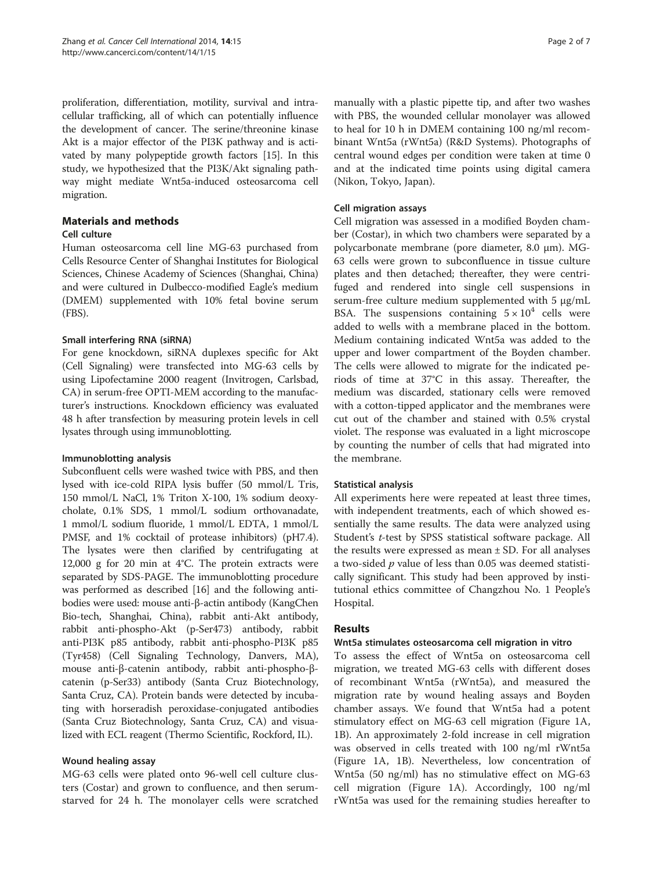proliferation, differentiation, motility, survival and intracellular trafficking, all of which can potentially influence the development of cancer. The serine/threonine kinase Akt is a major effector of the PI3K pathway and is activated by many polypeptide growth factors [\[15\]](#page-5-0). In this study, we hypothesized that the PI3K/Akt signaling pathway might mediate Wnt5a-induced osteosarcoma cell migration.

#### Materials and methods

#### Cell culture

Human osteosarcoma cell line MG-63 purchased from Cells Resource Center of Shanghai Institutes for Biological Sciences, Chinese Academy of Sciences (Shanghai, China) and were cultured in Dulbecco-modified Eagle's medium (DMEM) supplemented with 10% fetal bovine serum (FBS).

## Small interfering RNA (siRNA)

For gene knockdown, siRNA duplexes specific for Akt (Cell Signaling) were transfected into MG-63 cells by using Lipofectamine 2000 reagent (Invitrogen, Carlsbad, CA) in serum-free OPTI-MEM according to the manufacturer's instructions. Knockdown efficiency was evaluated 48 h after transfection by measuring protein levels in cell lysates through using immunoblotting.

#### Immunoblotting analysis

Subconfluent cells were washed twice with PBS, and then lysed with ice-cold RIPA lysis buffer (50 mmol/L Tris, 150 mmol/L NaCl, 1% Triton X-100, 1% sodium deoxycholate, 0.1% SDS, 1 mmol/L sodium orthovanadate, 1 mmol/L sodium fluoride, 1 mmol/L EDTA, 1 mmol/L PMSF, and 1% cocktail of protease inhibitors) (pH7.4). The lysates were then clarified by centrifugating at 12,000 g for 20 min at 4°C. The protein extracts were separated by SDS-PAGE. The immunoblotting procedure was performed as described [[16](#page-5-0)] and the following antibodies were used: mouse anti-β-actin antibody (KangChen Bio-tech, Shanghai, China), rabbit anti-Akt antibody, rabbit anti-phospho-Akt (p-Ser473) antibody, rabbit anti-PI3K p85 antibody, rabbit anti-phospho-PI3K p85 (Tyr458) (Cell Signaling Technology, Danvers, MA), mouse anti-β-catenin antibody, rabbit anti-phospho-βcatenin (p-Ser33) antibody (Santa Cruz Biotechnology, Santa Cruz, CA). Protein bands were detected by incubating with horseradish peroxidase-conjugated antibodies (Santa Cruz Biotechnology, Santa Cruz, CA) and visualized with ECL reagent (Thermo Scientific, Rockford, IL).

## Wound healing assay

MG-63 cells were plated onto 96-well cell culture clusters (Costar) and grown to confluence, and then serumstarved for 24 h. The monolayer cells were scratched manually with a plastic pipette tip, and after two washes with PBS, the wounded cellular monolayer was allowed to heal for 10 h in DMEM containing 100 ng/ml recombinant Wnt5a (rWnt5a) (R&D Systems). Photographs of central wound edges per condition were taken at time 0 and at the indicated time points using digital camera (Nikon, Tokyo, Japan).

### Cell migration assays

Cell migration was assessed in a modified Boyden chamber (Costar), in which two chambers were separated by a polycarbonate membrane (pore diameter, 8.0 μm). MG-63 cells were grown to subconfluence in tissue culture plates and then detached; thereafter, they were centrifuged and rendered into single cell suspensions in serum-free culture medium supplemented with 5 μg/mL BSA. The suspensions containing  $5 \times 10^4$  cells were added to wells with a membrane placed in the bottom. Medium containing indicated Wnt5a was added to the upper and lower compartment of the Boyden chamber. The cells were allowed to migrate for the indicated periods of time at 37°C in this assay. Thereafter, the medium was discarded, stationary cells were removed with a cotton-tipped applicator and the membranes were cut out of the chamber and stained with 0.5% crystal violet. The response was evaluated in a light microscope by counting the number of cells that had migrated into the membrane.

#### Statistical analysis

All experiments here were repeated at least three times, with independent treatments, each of which showed essentially the same results. The data were analyzed using Student's t-test by SPSS statistical software package. All the results were expressed as mean  $\pm$  SD. For all analyses a two-sided  $p$  value of less than 0.05 was deemed statistically significant. This study had been approved by institutional ethics committee of Changzhou No. 1 People's Hospital.

## Results

## Wnt5a stimulates osteosarcoma cell migration in vitro

To assess the effect of Wnt5a on osteosarcoma cell migration, we treated MG-63 cells with different doses of recombinant Wnt5a (rWnt5a), and measured the migration rate by wound healing assays and Boyden chamber assays. We found that Wnt5a had a potent stimulatory effect on MG-63 cell migration (Figure [1](#page-2-0)A, [1B](#page-2-0)). An approximately 2-fold increase in cell migration was observed in cells treated with 100 ng/ml rWnt5a (Figure [1](#page-2-0)A, [1B](#page-2-0)). Nevertheless, low concentration of Wnt5a (50 ng/ml) has no stimulative effect on MG-63 cell migration (Figure [1A](#page-2-0)). Accordingly, 100 ng/ml rWnt5a was used for the remaining studies hereafter to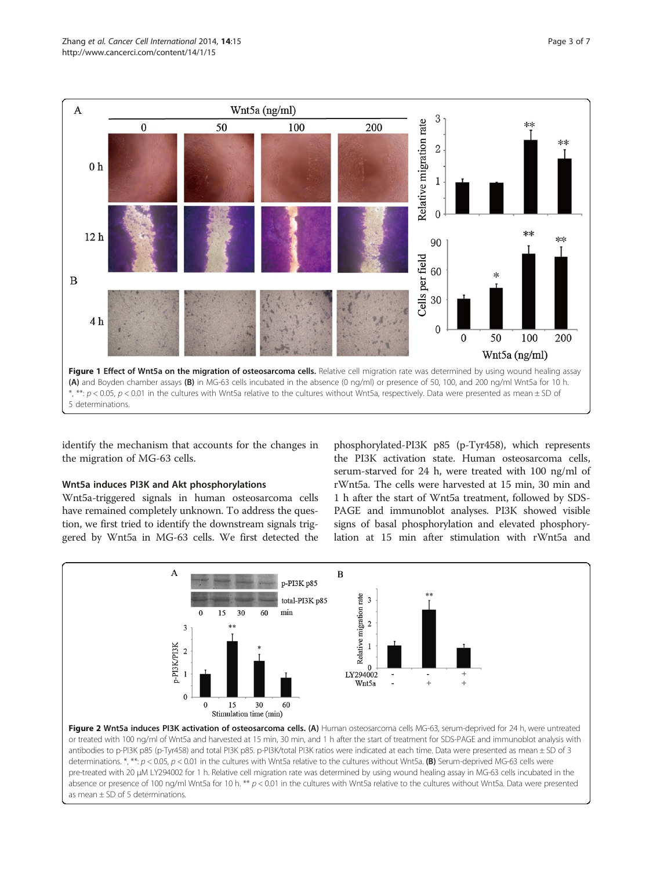<span id="page-2-0"></span>

identify the mechanism that accounts for the changes in the migration of MG-63 cells.

#### Wnt5a induces PI3K and Akt phosphorylations

Wnt5a-triggered signals in human osteosarcoma cells have remained completely unknown. To address the question, we first tried to identify the downstream signals triggered by Wnt5a in MG-63 cells. We first detected the

phosphorylated-PI3K p85 (p-Tyr458), which represents the PI3K activation state. Human osteosarcoma cells, serum-starved for 24 h, were treated with 100 ng/ml of rWnt5a. The cells were harvested at 15 min, 30 min and 1 h after the start of Wnt5a treatment, followed by SDS-PAGE and immunoblot analyses. PI3K showed visible signs of basal phosphorylation and elevated phosphorylation at 15 min after stimulation with rWnt5a and



as mean  $\pm$  SD of 5 determinations.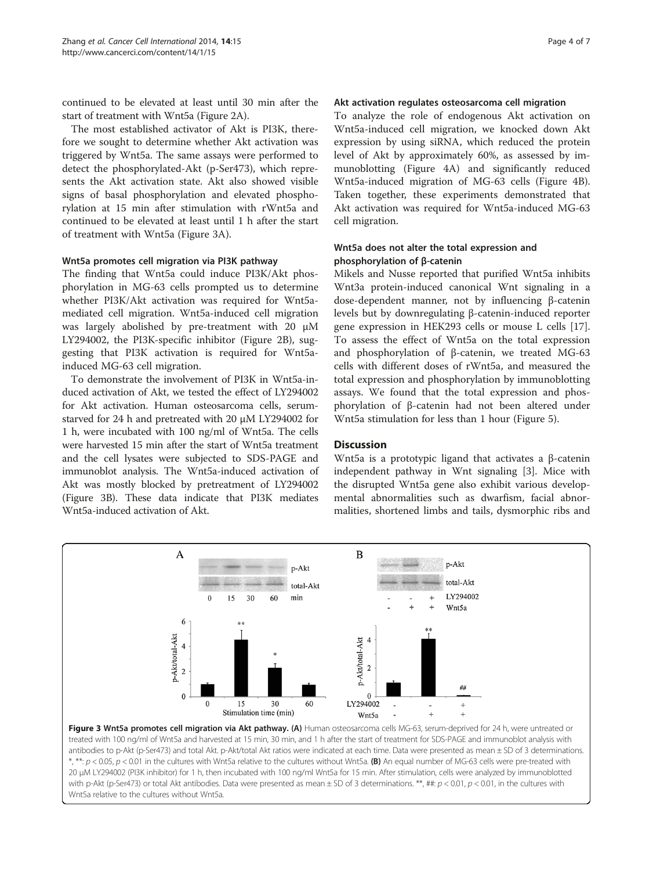continued to be elevated at least until 30 min after the start of treatment with Wnt5a (Figure [2](#page-2-0)A).

The most established activator of Akt is PI3K, therefore we sought to determine whether Akt activation was triggered by Wnt5a. The same assays were performed to detect the phosphorylated-Akt (p-Ser473), which represents the Akt activation state. Akt also showed visible signs of basal phosphorylation and elevated phosphorylation at 15 min after stimulation with rWnt5a and continued to be elevated at least until 1 h after the start of treatment with Wnt5a (Figure 3A).

#### Wnt5a promotes cell migration via PI3K pathway

The finding that Wnt5a could induce PI3K/Akt phosphorylation in MG-63 cells prompted us to determine whether PI3K/Akt activation was required for Wnt5amediated cell migration. Wnt5a-induced cell migration was largely abolished by pre-treatment with 20 μM LY294002, the PI3K-specific inhibitor (Figure [2B](#page-2-0)), suggesting that PI3K activation is required for Wnt5ainduced MG-63 cell migration.

To demonstrate the involvement of PI3K in Wnt5a-induced activation of Akt, we tested the effect of LY294002 for Akt activation. Human osteosarcoma cells, serumstarved for 24 h and pretreated with 20 μM LY294002 for 1 h, were incubated with 100 ng/ml of Wnt5a. The cells were harvested 15 min after the start of Wnt5a treatment and the cell lysates were subjected to SDS-PAGE and immunoblot analysis. The Wnt5a-induced activation of Akt was mostly blocked by pretreatment of LY294002 (Figure 3B). These data indicate that PI3K mediates Wnt5a-induced activation of Akt.

To analyze the role of endogenous Akt activation on Wnt5a-induced cell migration, we knocked down Akt expression by using siRNA, which reduced the protein level of Akt by approximately 60%, as assessed by immunoblotting (Figure [4](#page-4-0)A) and significantly reduced Wnt5a-induced migration of MG-63 cells (Figure [4](#page-4-0)B). Taken together, these experiments demonstrated that Akt activation was required for Wnt5a-induced MG-63 cell migration.

## Wnt5a does not alter the total expression and phosphorylation of β-catenin

Mikels and Nusse reported that purified Wnt5a inhibits Wnt3a protein-induced canonical Wnt signaling in a dose-dependent manner, not by influencing β-catenin levels but by downregulating β-catenin-induced reporter gene expression in HEK293 cells or mouse L cells [\[17](#page-5-0)]. To assess the effect of Wnt5a on the total expression and phosphorylation of β-catenin, we treated MG-63 cells with different doses of rWnt5a, and measured the total expression and phosphorylation by immunoblotting assays. We found that the total expression and phosphorylation of β-catenin had not been altered under Wnt5a stimulation for less than 1 hour (Figure [5](#page-4-0)).

#### **Discussion**

Wnt5a is a prototypic ligand that activates a β-catenin independent pathway in Wnt signaling [\[3\]](#page-5-0). Mice with the disrupted Wnt5a gene also exhibit various developmental abnormalities such as dwarfism, facial abnormalities, shortened limbs and tails, dysmorphic ribs and



treated with 100 ng/ml of Wnt5a and harvested at 15 min, 30 min, and 1 h after the start of treatment for SDS-PAGE and immunoblot analysis with antibodies to p-Akt (p-Ser473) and total Akt. p-Akt/total Akt ratios were indicated at each time. Data were presented as mean ± SD of 3 determinations. \*, \*\*:  $p < 0.05$ ,  $p < 0.01$  in the cultures with Wnt5a relative to the cultures without Wnt5a. (B) An equal number of MG-63 cells were pre-treated with 20 μM LY294002 (PI3K inhibitor) for 1 h, then incubated with 100 ng/ml Wnt5a for 15 min. After stimulation, cells were analyzed by immunoblotted with p-Akt (p-Ser473) or total Akt antibodies. Data were presented as mean  $\pm$  SD of 3 determinations. \*\*, ##:  $p < 0.01$ ,  $p < 0.01$ , in the cultures with Wnt5a relative to the cultures without Wnt5a.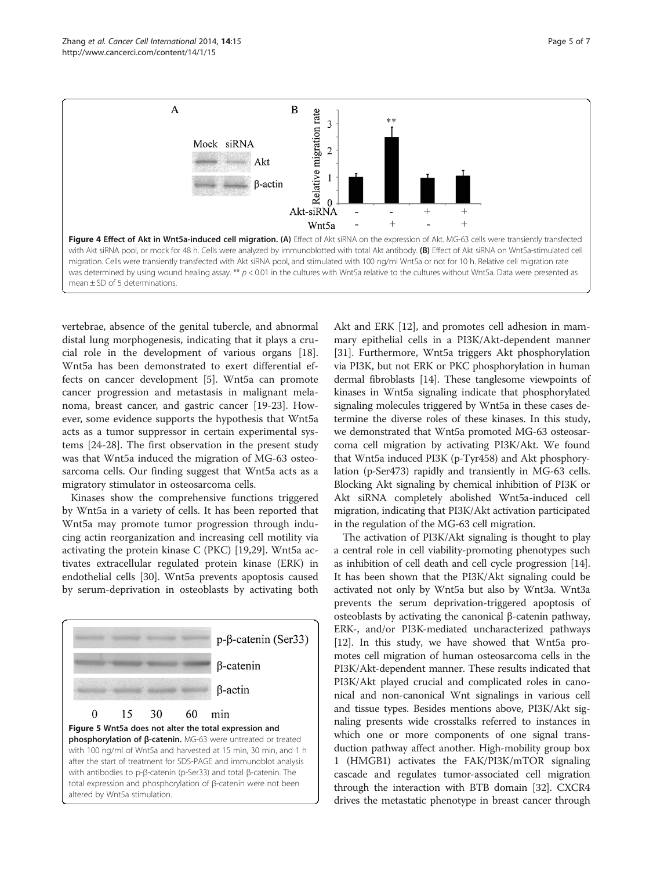vertebrae, absence of the genital tubercle, and abnormal distal lung morphogenesis, indicating that it plays a crucial role in the development of various organs [\[18](#page-5-0)]. Wnt5a has been demonstrated to exert differential effects on cancer development [[5](#page-5-0)]. Wnt5a can promote cancer progression and metastasis in malignant melanoma, breast cancer, and gastric cancer [\[19](#page-5-0)-[23](#page-5-0)]. However, some evidence supports the hypothesis that Wnt5a acts as a tumor suppressor in certain experimental systems [\[24](#page-5-0)-[28](#page-5-0)]. The first observation in the present study was that Wnt5a induced the migration of MG-63 osteosarcoma cells. Our finding suggest that Wnt5a acts as a migratory stimulator in osteosarcoma cells.

Kinases show the comprehensive functions triggered by Wnt5a in a variety of cells. It has been reported that Wnt5a may promote tumor progression through inducing actin reorganization and increasing cell motility via activating the protein kinase C (PKC) [\[19,29\]](#page-5-0). Wnt5a activates extracellular regulated protein kinase (ERK) in endothelial cells [[30\]](#page-5-0). Wnt5a prevents apoptosis caused by serum-deprivation in osteoblasts by activating both



 $p-\beta$ -catenin (Ser33)

Akt and ERK [\[12](#page-5-0)], and promotes cell adhesion in mammary epithelial cells in a PI3K/Akt-dependent manner [[31\]](#page-5-0). Furthermore, Wnt5a triggers Akt phosphorylation via PI3K, but not ERK or PKC phosphorylation in human dermal fibroblasts [\[14\]](#page-5-0). These tanglesome viewpoints of kinases in Wnt5a signaling indicate that phosphorylated signaling molecules triggered by Wnt5a in these cases determine the diverse roles of these kinases. In this study, we demonstrated that Wnt5a promoted MG-63 osteosarcoma cell migration by activating PI3K/Akt. We found that Wnt5a induced PI3K (p-Tyr458) and Akt phosphorylation (p-Ser473) rapidly and transiently in MG-63 cells. Blocking Akt signaling by chemical inhibition of PI3K or Akt siRNA completely abolished Wnt5a-induced cell migration, indicating that PI3K/Akt activation participated in the regulation of the MG-63 cell migration.

 $^{+}$ 

The activation of PI3K/Akt signaling is thought to play a central role in cell viability-promoting phenotypes such as inhibition of cell death and cell cycle progression [[14](#page-5-0)]. It has been shown that the PI3K/Akt signaling could be activated not only by Wnt5a but also by Wnt3a. Wnt3a prevents the serum deprivation-triggered apoptosis of osteoblasts by activating the canonical β-catenin pathway, ERK-, and/or PI3K-mediated uncharacterized pathways [[12](#page-5-0)]. In this study, we have showed that Wnt5a promotes cell migration of human osteosarcoma cells in the PI3K/Akt-dependent manner. These results indicated that PI3K/Akt played crucial and complicated roles in canonical and non-canonical Wnt signalings in various cell and tissue types. Besides mentions above, PI3K/Akt signaling presents wide crosstalks referred to instances in which one or more components of one signal transduction pathway affect another. High-mobility group box 1 (HMGB1) activates the FAK/PI3K/mTOR signaling cascade and regulates tumor-associated cell migration through the interaction with BTB domain [[32](#page-5-0)]. CXCR4 drives the metastatic phenotype in breast cancer through



Relative migration rate

 $\overline{3}$ 

 $\overline{2}$ 

1

 $\Omega$ Akt-siRNA

 $\bf{B}$ 

<span id="page-4-0"></span> $\mathbf{A}$ 

Mock siRNA

Akt

**B**-actin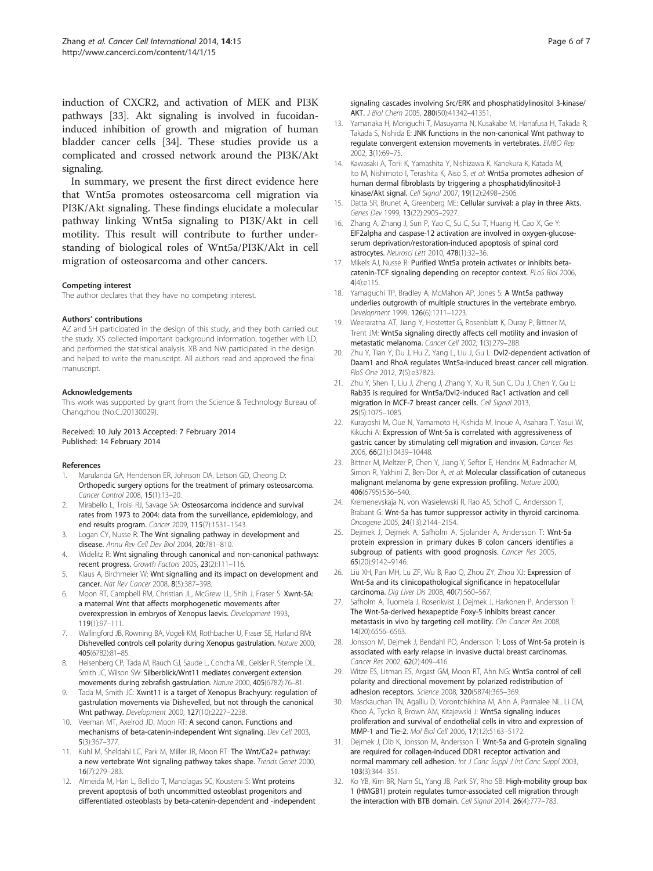<span id="page-5-0"></span>induction of CXCR2, and activation of MEK and PI3K pathways [[33](#page-6-0)]. Akt signaling is involved in fucoidaninduced inhibition of growth and migration of human bladder cancer cells [\[34\]](#page-6-0). These studies provide us a complicated and crossed network around the PI3K/Akt signaling.

In summary, we present the first direct evidence here that Wnt5a promotes osteosarcoma cell migration via PI3K/Akt signaling. These findings elucidate a molecular pathway linking Wnt5a signaling to PI3K/Akt in cell motility. This result will contribute to further understanding of biological roles of Wnt5a/PI3K/Akt in cell migration of osteosarcoma and other cancers.

#### Competing interest

The author declares that they have no competing interest.

#### Authors' contributions

AZ and SH participated in the design of this study, and they both carried out the study. XS collected important background information, together with LD, and performed the statistical analysis. XB and NW participated in the design and helped to write the manuscript. All authors read and approved the final manuscript.

#### Acknowledgements

This work was supported by grant from the Science & Technology Bureau of Changzhou (No.CJ20130029).

#### Received: 10 July 2013 Accepted: 7 February 2014 Published: 14 February 2014

#### References

- Marulanda GA, Henderson ER, Johnson DA, Letson GD, Cheong D: Orthopedic surgery options for the treatment of primary osteosarcoma. Cancer Control 2008, 15(1):13–20.
- Mirabello L, Troisi RJ, Savage SA: Osteosarcoma incidence and survival rates from 1973 to 2004: data from the surveillance, epidemiology, and end results program. Cancer 2009, 115(7):1531–1543.
- 3. Logan CY, Nusse R: The Wnt signaling pathway in development and disease. Annu Rev Cell Dev Biol 2004, 20:781-810.
- 4. Widelitz R: Wnt signaling through canonical and non-canonical pathways: recent progress. Growth Factors 2005, 23(2):111–116.
- Klaus A, Birchmeier W: Wnt signalling and its impact on development and cancer. Nat Rev Cancer 2008, 8(5):387–398.
- 6. Moon RT, Campbell RM, Christian JL, McGrew LL, Shih J, Fraser S: Xwnt-5A: a maternal Wnt that affects morphogenetic movements after overexpression in embryos of Xenopus laevis. Development 1993, 119(1):97–111.
- 7. Wallingford JB, Rowning BA, Vogeli KM, Rothbacher U, Fraser SE, Harland RM: Dishevelled controls cell polarity during Xenopus gastrulation. Nature 2000, 405(6782):81–85.
- 8. Heisenberg CP, Tada M, Rauch GJ, Saude L, Concha ML, Geisler R, Stemple DL, Smith JC, Wilson SW: Silberblick/Wnt11 mediates convergent extension movements during zebrafish gastrulation. Nature 2000, 405(6782):76–81.
- Tada M, Smith JC: Xwnt11 is a target of Xenopus Brachyury: regulation of gastrulation movements via Dishevelled, but not through the canonical Wnt pathway. Development 2000, 127(10):2227–2238.
- 10. Veeman MT, Axelrod JD, Moon RT: A second canon. Functions and mechanisms of beta-catenin-independent Wnt signaling. Dev Cell 2003, 5(3):367–377.
- 11. Kuhl M, Sheldahl LC, Park M, Miller JR, Moon RT: The Wnt/Ca2+ pathway: a new vertebrate Wnt signaling pathway takes shape. Trends Genet 2000, 16(7):279–283.
- 12. Almeida M, Han L, Bellido T, Manolagas SC, Kousteni S: Wnt proteins prevent apoptosis of both uncommitted osteoblast progenitors and differentiated osteoblasts by beta-catenin-dependent and -independent

signaling cascades involving Src/ERK and phosphatidylinositol 3-kinase/ AKT. J Biol Chem 2005, 280(50):41342–41351.

- 13. Yamanaka H, Moriguchi T, Masuyama N, Kusakabe M, Hanafusa H, Takada R, Takada S, Nishida E: JNK functions in the non-canonical Wnt pathway to regulate convergent extension movements in vertebrates. EMBO Rep 2002, 3(1):69–75.
- 14. Kawasaki A, Torii K, Yamashita Y, Nishizawa K, Kanekura K, Katada M, Ito M, Nishimoto I, Terashita K, Aiso S, et al: Wnt5a promotes adhesion of human dermal fibroblasts by triggering a phosphatidylinositol-3 kinase/Akt signal. Cell Signal 2007, 19(12):2498–2506.
- 15. Datta SR, Brunet A, Greenberg ME: Cellular survival: a play in three Akts. Genes Dev 1999, 13(22):2905–2927.
- 16. Zhang A, Zhang J, Sun P, Yao C, Su C, Sui T, Huang H, Cao X, Ge Y: EIF2alpha and caspase-12 activation are involved in oxygen-glucoseserum deprivation/restoration-induced apoptosis of spinal cord astrocytes. Neurosci Lett 2010, 478(1):32–36.
- 17. Mikels AJ, Nusse R: Purified Wnt5a protein activates or inhibits betacatenin-TCF signaling depending on receptor context. PLoS Biol 2006,  $4(4)$  $-115$
- 18. Yamaguchi TP, Bradley A, McMahon AP, Jones S: A Wnt5a pathway underlies outgrowth of multiple structures in the vertebrate embryo. Development 1999, 126(6):1211–1223.
- 19. Weeraratna AT, Jiang Y, Hostetter G, Rosenblatt K, Duray P, Bittner M, Trent JM: Wnt5a signaling directly affects cell motility and invasion of metastatic melanoma. Cancer Cell 2002, 1(3):279–288.
- 20. Zhu Y, Tian Y, Du J, Hu Z, Yang L, Liu J, Gu L: Dvl2-dependent activation of Daam1 and RhoA regulates Wnt5a-induced breast cancer cell migration. PloS One 2012, 7(5):e37823.
- 21. Zhu Y, Shen T, Liu J, Zheng J, Zhang Y, Xu R, Sun C, Du J, Chen Y, Gu L: Rab35 is required for Wnt5a/Dvl2-induced Rac1 activation and cell migration in MCF-7 breast cancer cells. Cell Signal 2013, 25(5):1075–1085.
- 22. Kurayoshi M, Oue N, Yamamoto H, Kishida M, Inoue A, Asahara T, Yasui W, Kikuchi A: Expression of Wnt-5a is correlated with aggressiveness of gastric cancer by stimulating cell migration and invasion. Cancer Res 2006, 66(21):10439–10448.
- 23. Bittner M, Meltzer P, Chen Y, Jiang Y, Seftor E, Hendrix M, Radmacher M, Simon R, Yakhini Z, Ben-Dor A, et al: Molecular classification of cutaneous malignant melanoma by gene expression profiling. Nature 2000, 406(6795):536–540.
- 24. Kremenevskaja N, von Wasielewski R, Rao AS, Schofl C, Andersson T, Brabant G: Wnt-5a has tumor suppressor activity in thyroid carcinoma. Oncogene 2005, 24(13):2144–2154.
- 25. Dejmek J, Dejmek A, Safholm A, Sjolander A, Andersson T: Wnt-5a protein expression in primary dukes B colon cancers identifies a subgroup of patients with good prognosis. Cancer Res 2005, 65(20):9142–9146.
- 26. Liu XH, Pan MH, Lu ZF, Wu B, Rao Q, Zhou ZY, Zhou XJ: Expression of Wnt-5a and its clinicopathological significance in hepatocellular carcinoma. Dig Liver Dis 2008, 40(7):560–567.
- 27. Safholm A, Tuomela J, Rosenkvist J, Dejmek J, Harkonen P, Andersson T: The Wnt-5a-derived hexapeptide Foxy-5 inhibits breast cancer metastasis in vivo by targeting cell motility. Clin Cancer Res 2008, 14(20):6556–6563.
- 28. Jonsson M, Dejmek J, Bendahl PO, Andersson T: Loss of Wnt-5a protein is associated with early relapse in invasive ductal breast carcinomas. Cancer Res 2002, 62(2):409–416.
- 29. Witze ES, Litman ES, Argast GM, Moon RT, Ahn NG: Wnt5a control of cell polarity and directional movement by polarized redistribution of adhesion receptors. Science 2008, 320(5874):365–369.
- 30. Masckauchan TN, Agalliu D, Vorontchikhina M, Ahn A, Parmalee NL, Li CM, Khoo A, Tycko B, Brown AM, Kitajewski J: Wnt5a signaling induces proliferation and survival of endothelial cells in vitro and expression of MMP-1 and Tie-2. Mol Biol Cell 2006, 17(12):5163–5172.
- 31. Dejmek J, Dib K, Jonsson M, Andersson T: Wnt-5a and G-protein signaling are required for collagen-induced DDR1 receptor activation and normal mammary cell adhesion. Int J Canc Suppl J Int Canc Suppl 2003, 103(3):344–351.
- 32. Ko YB, Kim BR, Nam SL, Yang JB, Park SY, Rho SB: High-mobility group box 1 (HMGB1) protein regulates tumor-associated cell migration through the interaction with BTB domain. Cell Signal 2014, 26(4):777-783.